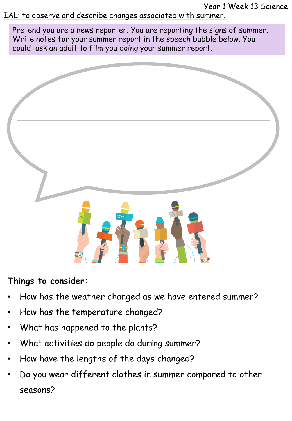Year 1 Week 13 Science

IAL: to observe and describe changes associated with summer.

Pretend you are a news reporter. You are reporting the signs of summer. Write notes for your summer report in the speech bubble below. You could ask an adult to film you doing your summer report.



## **Things to consider:**

- How has the weather changed as we have entered summer?
- How has the temperature changed?
- What has happened to the plants?
- What activities do people do during summer?
- How have the lengths of the days changed?
- Do you wear different clothes in summer compared to other seasons?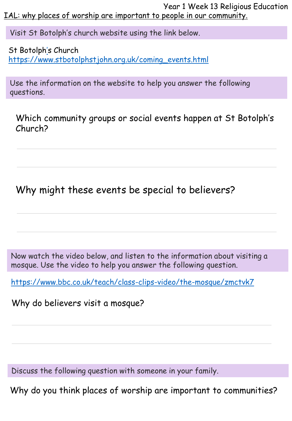Year 1 Week 13 Religious Education IAL: why places of worship are important to people in our community.

Visit St Botolph's church website using the link below.

St Botolph['](https://www.stbotolphstjohn.org.uk/coming_events.html)s Church [https://www.stbotolphstjohn.org.uk/coming\\_events.html](https://www.stbotolphstjohn.org.uk/coming_events.html)

Use the information on the website to help you answer the following questions.

Which community groups or social events happen at St Botolph's Church?

Why might these events be special to believers?

Now watch the video below, and listen to the information about visiting a mosque. Use the video to help you answer the following question.

<https://www.bbc.co.uk/teach/class-clips-video/the-mosque/zmctvk7>

Why do believers visit a mosque?

Discuss the following question with someone in your family.

Why do you think places of worship are important to communities?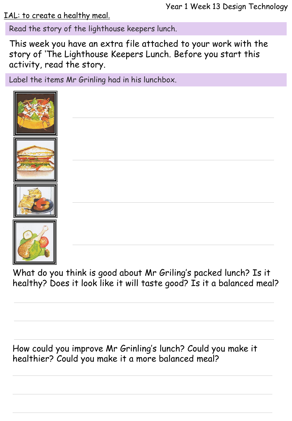IAL: to create a healthy meal.

Read the story of the lighthouse keepers lunch.

This week you have an extra file attached to your work with the story of 'The Lighthouse Keepers Lunch. Before you start this activity, read the story.

Label the items Mr Grinling had in his lunchbox.





What do you think is good about Mr Griling's packed lunch? Is it healthy? Does it look like it will taste good? Is it a balanced meal?

How could you improve Mr Grinling's lunch? Could you make it healthier? Could you make it a more balanced meal?